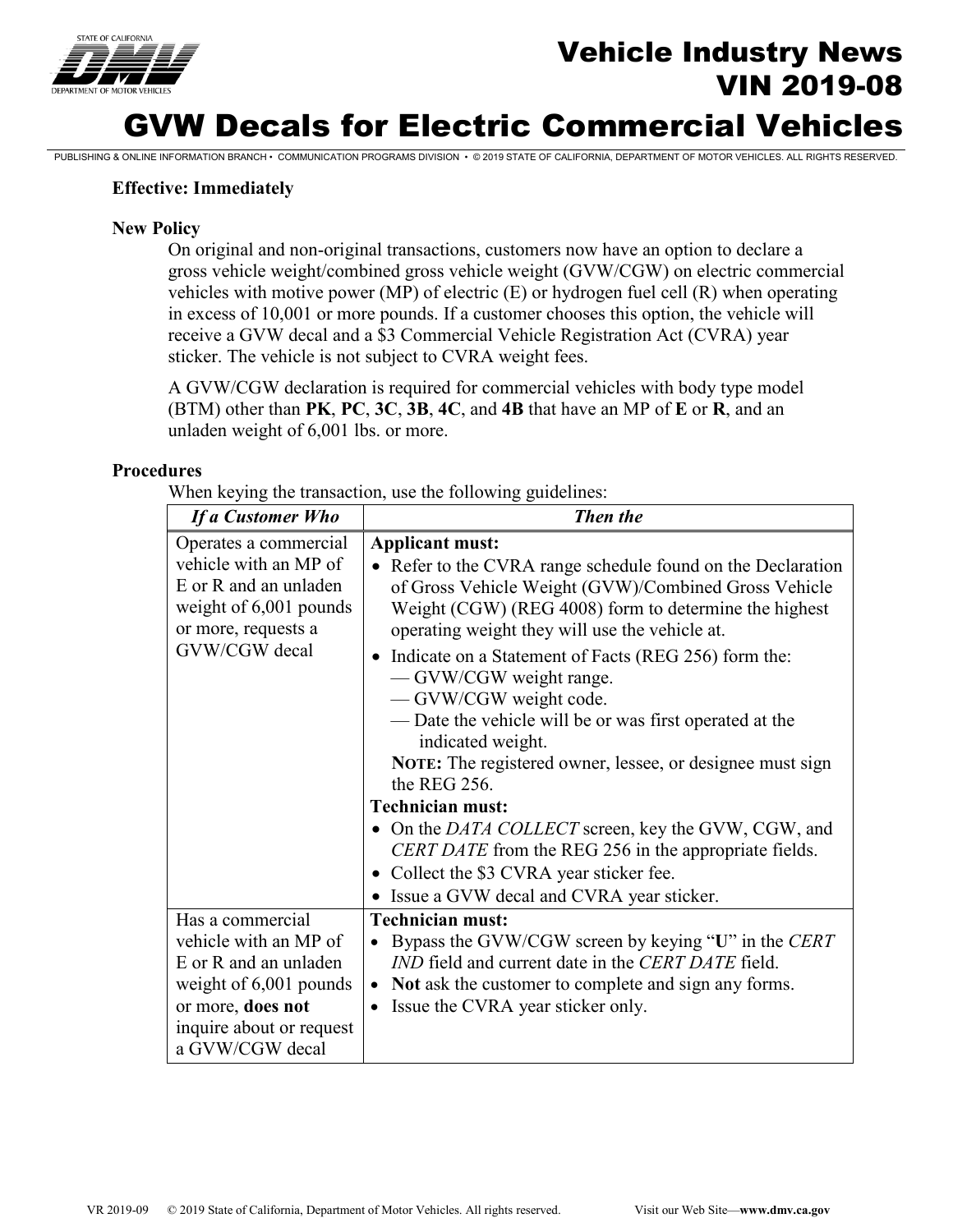

# Vehicle Industry News VIN 2019-08

## GVW Decals for Electric Commercial Vehicles

PUBLISHING & ONLINE INFORMATION BRANCH • COMMUNICATION PROGRAMS DIVISION • © 2019 STATE OF CALIFORNIA, DEPARTMENT OF MOTOR VEHICLES. ALL RIGHTS RESERVED.

## **Effective: Immediately**

## **New Policy**

On original and non-original transactions, customers now have an option to declare a gross vehicle weight/combined gross vehicle weight (GVW/CGW) on electric commercial vehicles with motive power (MP) of electric (E) or hydrogen fuel cell (R) when operating in excess of 10,001 or more pounds. If a customer chooses this option, the vehicle will receive a GVW decal and a \$3 Commercial Vehicle Registration Act (CVRA) year sticker. The vehicle is not subject to CVRA weight fees.

A GVW/CGW declaration is required for commercial vehicles with body type model (BTM) other than **PK**, **PC**, **3C**, **3B**, **4C**, and **4B** that have an MP of **E** or **R**, and an unladen weight of 6,001 lbs. or more.

## **Procedures**

When keying the transaction, use the following guidelines:

| If a Customer Who                                                                                                                                                  | Then the                                                                                                                                                                                                                                                                                                                                                                                                                                                                                                                                                                                                                                                                                                                                                                  |
|--------------------------------------------------------------------------------------------------------------------------------------------------------------------|---------------------------------------------------------------------------------------------------------------------------------------------------------------------------------------------------------------------------------------------------------------------------------------------------------------------------------------------------------------------------------------------------------------------------------------------------------------------------------------------------------------------------------------------------------------------------------------------------------------------------------------------------------------------------------------------------------------------------------------------------------------------------|
| Operates a commercial<br>vehicle with an MP of<br>E or R and an unladen<br>weight of 6,001 pounds<br>or more, requests a<br>GVW/CGW decal                          | <b>Applicant must:</b><br>• Refer to the CVRA range schedule found on the Declaration<br>of Gross Vehicle Weight (GVW)/Combined Gross Vehicle<br>Weight (CGW) (REG 4008) form to determine the highest<br>operating weight they will use the vehicle at.<br>• Indicate on a Statement of Facts (REG 256) form the:<br>— GVW/CGW weight range.<br>— GVW/CGW weight code.<br>- Date the vehicle will be or was first operated at the<br>indicated weight.<br>NOTE: The registered owner, lessee, or designee must sign<br>the REG 256.<br><b>Technician must:</b><br>• On the DATA COLLECT screen, key the GVW, CGW, and<br>CERT DATE from the REG 256 in the appropriate fields.<br>• Collect the \$3 CVRA year sticker fee.<br>• Issue a GVW decal and CVRA year sticker. |
| Has a commercial<br>vehicle with an MP of<br>E or R and an unladen<br>weight of $6,001$ pounds<br>or more, does not<br>inquire about or request<br>a GVW/CGW decal | <b>Technician must:</b><br>• Bypass the GVW/CGW screen by keying "U" in the CERT<br><i>IND</i> field and current date in the <i>CERT DATE</i> field.<br>• Not ask the customer to complete and sign any forms.<br>• Issue the CVRA year sticker only.                                                                                                                                                                                                                                                                                                                                                                                                                                                                                                                     |